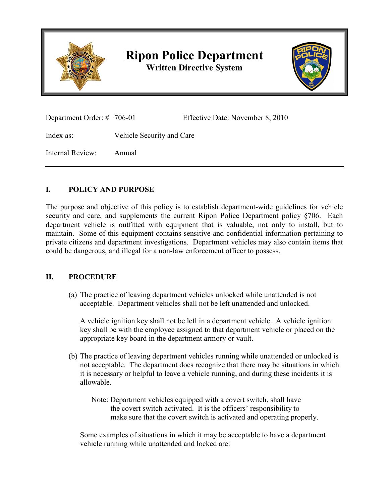

## **Ripon Police Department**

**Written Directive System**



| Department Order: $\#$ 706-01 |                           | Effective Date: November 8, 2010 |
|-------------------------------|---------------------------|----------------------------------|
| Index as:                     | Vehicle Security and Care |                                  |
| Internal Review:              | Annual                    |                                  |

## **I. POLICY AND PURPOSE**

The purpose and objective of this policy is to establish department-wide guidelines for vehicle security and care, and supplements the current Ripon Police Department policy §706. Each department vehicle is outfitted with equipment that is valuable, not only to install, but to maintain. Some of this equipment contains sensitive and confidential information pertaining to private citizens and department investigations. Department vehicles may also contain items that could be dangerous, and illegal for a non-law enforcement officer to possess.

## **II. PROCEDURE**

(a) The practice of leaving department vehicles unlocked while unattended is not acceptable. Department vehicles shall not be left unattended and unlocked.

A vehicle ignition key shall not be left in a department vehicle. A vehicle ignition key shall be with the employee assigned to that department vehicle or placed on the appropriate key board in the department armory or vault.

(b) The practice of leaving department vehicles running while unattended or unlocked is not acceptable. The department does recognize that there may be situations in which it is necessary or helpful to leave a vehicle running, and during these incidents it is allowable.

Note: Department vehicles equipped with a covert switch, shall have the covert switch activated. It is the officers' responsibility to make sure that the covert switch is activated and operating properly.

Some examples of situations in which it may be acceptable to have a department vehicle running while unattended and locked are: